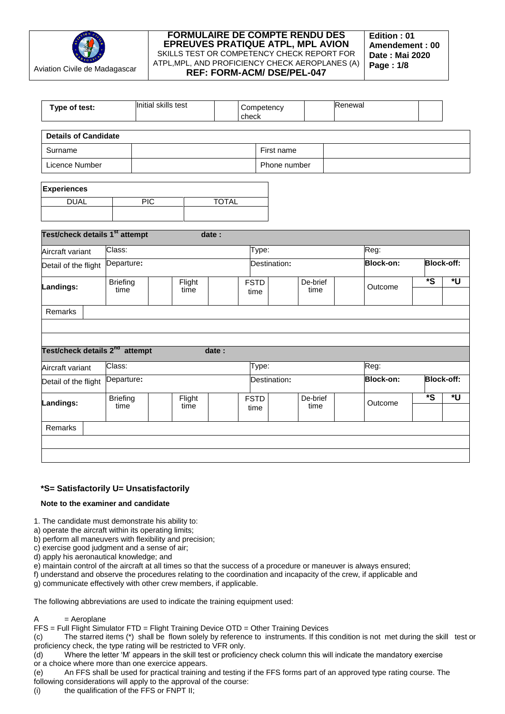

| Type of test:                              |                         | Initial skills test |                | check        | Competency          |                  | Renewal |                  |                         |                   |
|--------------------------------------------|-------------------------|---------------------|----------------|--------------|---------------------|------------------|---------|------------------|-------------------------|-------------------|
| <b>Details of Candidate</b>                |                         |                     |                |              |                     |                  |         |                  |                         |                   |
| Surname                                    |                         |                     |                |              | First name          |                  |         |                  |                         |                   |
| Licence Number                             |                         |                     |                |              | Phone number        |                  |         |                  |                         |                   |
| <b>Experiences</b>                         |                         |                     |                |              |                     |                  |         |                  |                         |                   |
| <b>DUAL</b>                                |                         | $\overline{PIC}$    |                | <b>TOTAL</b> |                     |                  |         |                  |                         |                   |
| Test/check details 1 <sup>st</sup> attempt |                         |                     | date:          |              |                     |                  |         |                  |                         |                   |
| Aircraft variant                           | Class:                  |                     |                |              | Type:               |                  |         | Reg:             |                         |                   |
| Detail of the flight                       | Departure:              |                     |                |              | Destination:        |                  |         | <b>Block-on:</b> |                         | <b>Block-off:</b> |
| Landings:                                  | <b>Briefing</b><br>time |                     | Flight<br>time |              | <b>FSTD</b><br>time | De-brief<br>time |         | Outcome          | $\overline{\mathbf{s}}$ | *U                |
| Remarks                                    |                         |                     |                |              |                     |                  |         |                  |                         |                   |
| Test/check details 2 <sup>nd</sup> attempt |                         |                     |                | date:        |                     |                  |         |                  |                         |                   |
| Aircraft variant                           | Class:                  |                     |                |              | Type:               |                  |         | Reg:             |                         |                   |
| Detail of the flight                       | Departure:              |                     |                |              | Destination:        |                  |         | <b>Block-on:</b> |                         | <b>Block-off:</b> |
| Landings:                                  | <b>Briefing</b><br>time |                     | Flight<br>time |              | <b>FSTD</b><br>time | De-brief<br>time |         | Outcome          | $\overline{\mathbf{s}}$ | *U                |
| Remarks                                    |                         |                     |                |              |                     |                  |         |                  |                         |                   |

# **\*S= Satisfactorily U= Unsatisfactorily**

### **Note to the examiner and candidate**

- 1. The candidate must demonstrate his ability to:
- a) operate the aircraft within its operating limits;
- b) perform all maneuvers with flexibility and precision;
- c) exercise good judgment and a sense of air; d) apply his aeronautical knowledge; and
- e) maintain control of the aircraft at all times so that the success of a procedure or maneuver is always ensured;
- f) understand and observe the procedures relating to the coordination and incapacity of the crew, if applicable and

g) communicate effectively with other crew members, if applicable.

The following abbreviations are used to indicate the training equipment used:

# $A = Aeroplane$

FFS = Full Flight Simulator FTD = Flight Training Device OTD = Other Training Devices

(c) The starred items (\*) shall be flown solely by reference to instruments. If this condition is not met during the skill test or proficiency check, the type rating will be restricted to VFR only.

(d) Where the letter 'M' appears in the skill test or proficiency check column this will indicate the mandatory exercise or a choice where more than one exercice appears.

(e) An FFS shall be used for practical training and testing if the FFS forms part of an approved type rating course. The following considerations will apply to the approval of the course:

(i) the qualification of the FFS or FNPT II;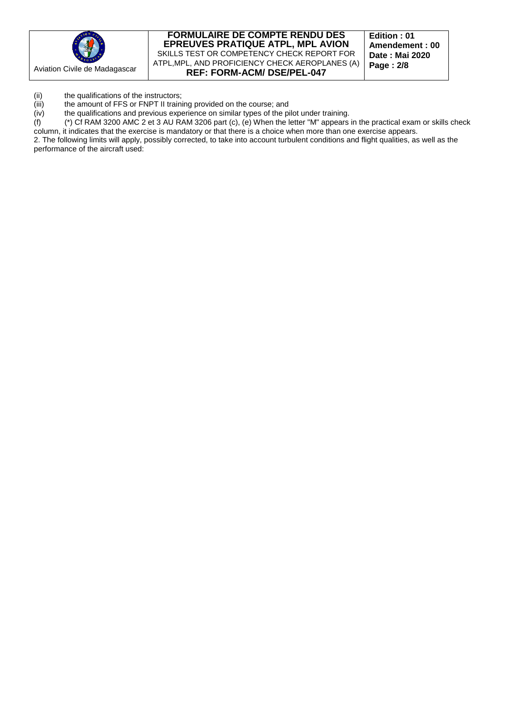

**Edition : 01 Amendement : 00 Date : Mai 2020 Page : 2/8**

(ii) the qualifications of the instructors;<br>(iii) the amount of FFS or FNPT II traini

(iii) the amount of FFS or FNPT II training provided on the course; and (iv) the qualifications and previous experience on similar types of the pi

(iv) the qualifications and previous experience on similar types of the pilot under training.<br>  $(f)$  (\*) Cf RAM 3200 AMC 2 et 3 AU RAM 3206 part (c), (e) When the letter "M" appears (f) (\*) Cf RAM 3200 AMC 2 et 3 AU RAM 3206 part (c), (e) When the letter "M" appears in the practical exam or skills check column, it indicates that the exercise is mandatory or that there is a choice when more than one exercise appears.

2. The following limits will apply, possibly corrected, to take into account turbulent conditions and flight qualities, as well as the performance of the aircraft used: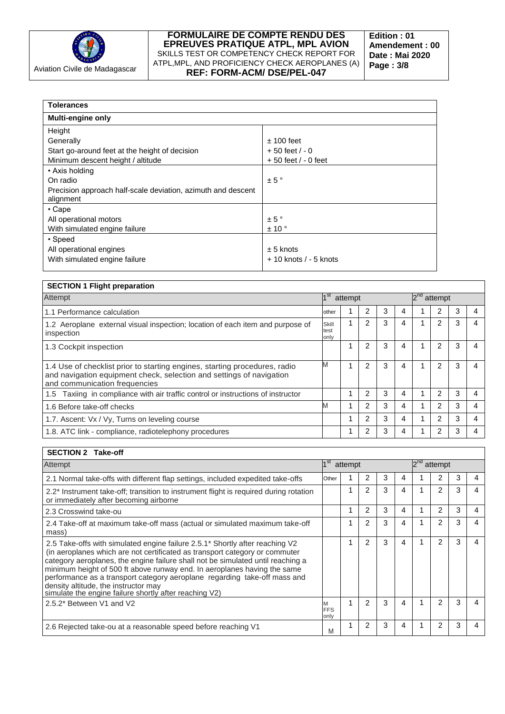

| <b>Tolerances</b>                                            |                          |
|--------------------------------------------------------------|--------------------------|
| <b>Multi-engine only</b>                                     |                          |
| Height                                                       |                          |
| Generally                                                    | $± 100$ feet             |
| Start go-around feet at the height of decision               | $+50$ feet $/ -0$        |
| Minimum descent height / altitude                            | $+50$ feet $/ -0$ feet   |
| • Axis holding                                               |                          |
| On radio                                                     | ± 5°                     |
| Precision approach half-scale deviation, azimuth and descent |                          |
| alignment                                                    |                          |
| • Cape                                                       |                          |
| All operational motors                                       | $\pm$ 5 $\degree$        |
| With simulated engine failure                                | ± 10°                    |
| • Speed                                                      |                          |
| All operational engines                                      | $± 5$ knots              |
| With simulated engine failure                                | $+10$ knots $/ -5$ knots |
|                                                              |                          |

| <b>SECTION 1 Flight preparation</b>                                                                                                                                                 |                       |         |   |   |   |          |                |   |  |
|-------------------------------------------------------------------------------------------------------------------------------------------------------------------------------------|-----------------------|---------|---|---|---|----------|----------------|---|--|
| Attempt                                                                                                                                                                             | $1^{\rm st}$          | attempt |   |   |   | $2^{na}$ | attempt        |   |  |
| 1.1 Performance calculation                                                                                                                                                         | other                 |         | 2 | 3 | 4 |          | 2              | 3 |  |
| 1.2 Aeroplane external visual inspection; location of each item and purpose of<br>inspection                                                                                        | Skill<br>test<br>only | 1       | 2 | 3 | 4 |          | $\overline{2}$ | 3 |  |
| 1.3 Cockpit inspection                                                                                                                                                              |                       |         | 2 | 3 | 4 |          | $\mathcal{P}$  | 3 |  |
| 1.4 Use of checklist prior to starting engines, starting procedures, radio<br>and navigation equipment check, selection and settings of navigation<br>and communication frequencies | M                     |         | 2 | 3 | 4 |          | 2              | 3 |  |
| Taxiing in compliance with air traffic control or instructions of instructor<br>1.5                                                                                                 |                       |         | 2 | 3 | 4 |          | 2              | 3 |  |
| 1.6 Before take-off checks                                                                                                                                                          | M                     |         | 2 | 3 | 4 |          | 2              | 3 |  |
| 1.7. Ascent: Vx / Vy, Turns on leveling course                                                                                                                                      |                       | 4       | 2 | 3 | 4 |          | 2              | 3 |  |
| 1.8. ATC link - compliance, radiotelephony procedures                                                                                                                               |                       |         | 2 | 3 | 4 |          | 2              | 3 |  |

# **SECTION 2 Take-off**

| Attempt                                                                                                                                                                                                                                                                                                                                                                                                                                                                                                   |                    | attempt |   |   |   | $2^{nq}$ | attempt        |   |   |
|-----------------------------------------------------------------------------------------------------------------------------------------------------------------------------------------------------------------------------------------------------------------------------------------------------------------------------------------------------------------------------------------------------------------------------------------------------------------------------------------------------------|--------------------|---------|---|---|---|----------|----------------|---|---|
| 2.1 Normal take-offs with different flap settings, included expedited take-offs                                                                                                                                                                                                                                                                                                                                                                                                                           | Other              |         |   | 3 | 4 |          |                | 3 |   |
| 2.2* Instrument take-off; transition to instrument flight is required during rotation<br>or immediately after becoming airborne                                                                                                                                                                                                                                                                                                                                                                           |                    |         | 2 | 3 | 4 |          | $\overline{2}$ | 3 | 4 |
| 2.3 Crosswind take-ou                                                                                                                                                                                                                                                                                                                                                                                                                                                                                     |                    |         | 2 | 3 | 4 |          | 2              | 3 |   |
| 2.4 Take-off at maximum take-off mass (actual or simulated maximum take-off<br>mass)                                                                                                                                                                                                                                                                                                                                                                                                                      |                    |         | 2 | 3 | 4 |          | $\overline{2}$ | 3 |   |
| 2.5 Take-offs with simulated engine failure 2.5.1* Shortly after reaching V2<br>(in aeroplanes which are not certificated as transport category or commuter<br>category aeroplanes, the engine failure shall not be simulated until reaching a<br>minimum height of 500 ft above runway end. In aeroplanes having the same<br>performance as a transport category aeroplane regarding take-off mass and<br>density altitude, the instructor may<br>simulate the engine failure shortly after reaching V2) |                    |         | 2 | 3 | 4 |          | 2              | 3 |   |
| 2.5.2* Between V1 and V2                                                                                                                                                                                                                                                                                                                                                                                                                                                                                  | <b>FFS</b><br>only |         | 2 | 3 | 4 |          | 2              | 3 |   |
| 2.6 Rejected take-ou at a reasonable speed before reaching V1                                                                                                                                                                                                                                                                                                                                                                                                                                             | M                  |         | 2 | 3 | 4 |          | 2              | 3 |   |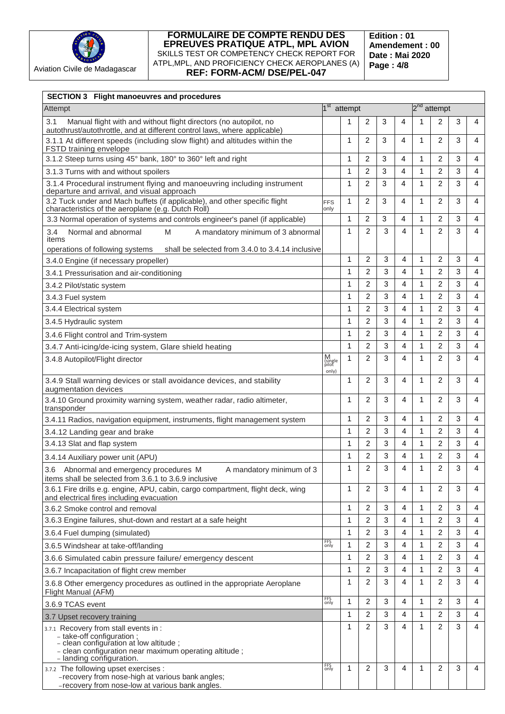

**Edition : 01 Amendement : 00 Date : Mai 2020 Page : 4/8**

| <b>SECTION 3 Flight manoeuvres and procedures</b>                                                                                                         |                                |   |                |   |   |              |                         |   |   |
|-----------------------------------------------------------------------------------------------------------------------------------------------------------|--------------------------------|---|----------------|---|---|--------------|-------------------------|---|---|
| Attempt                                                                                                                                                   | 1 <sup>st</sup> attempt        |   |                |   |   |              | 2 <sup>nd</sup> attempt |   |   |
| 3.1<br>Manual flight with and without flight directors (no autopilot, no<br>autothrust/autothrottle, and at different control laws, where applicable)     |                                | 1 | 2              | 3 | 4 | 1            | 2                       | 3 | 4 |
| 3.1.1 At different speeds (including slow flight) and altitudes within the<br>FSTD training envelope                                                      |                                | 1 | 2              | 3 | 4 | 1            | 2                       | 3 | 4 |
| 3.1.2 Steep turns using 45° bank, 180° to 360° left and right                                                                                             |                                | 1 | 2              | 3 | 4 | 1            | 2                       | 3 | 4 |
| 3.1.3 Turns with and without spoilers                                                                                                                     |                                | 1 | 2              | 3 | 4 | 1            | 2                       | 3 | 4 |
| 3.1.4 Procedural instrument flying and manoeuvring including instrument<br>departure and arrival, and visual approach                                     |                                | 1 | 2              | 3 | 4 | 1            | 2                       | 3 | 4 |
| 3.2 Tuck under and Mach buffets (if applicable), and other specific flight<br>characteristics of the aeroplane (e.g. Dutch Roll)                          | <b>FFS</b><br>only             | 1 | 2              | 3 | 4 | 1            | 2                       | 3 | 4 |
| 3.3 Normal operation of systems and controls engineer's panel (if applicable)                                                                             |                                | 1 | 2              | 3 | 4 | 1            | 2                       | 3 | 4 |
| Normal and abnormal<br>M<br>A mandatory minimum of 3 abnormal<br>3.4<br>items                                                                             |                                | 1 | 2              | 3 | 4 | 1            | 2                       | 3 | 4 |
| shall be selected from 3.4.0 to 3.4.14 inclusive<br>operations of following systems                                                                       |                                |   |                |   |   |              |                         |   |   |
| 3.4.0 Engine (if necessary propeller)                                                                                                                     |                                | 1 | 2              | 3 | 4 | 1            | 2                       | 3 | 4 |
| 3.4.1 Pressurisation and air-conditioning                                                                                                                 |                                | 1 | 2              | 3 | 4 | 1            | 2                       | 3 | 4 |
| 3.4.2 Pilot/static system                                                                                                                                 |                                | 1 | $\overline{2}$ | 3 | 4 | $\mathbf{1}$ | $\overline{2}$          | 3 | 4 |
| 3.4.3 Fuel system                                                                                                                                         |                                | 1 | $\overline{2}$ | 3 | 4 | 1            | $\overline{2}$          | 3 | 4 |
| 3.4.4 Electrical system                                                                                                                                   |                                | 1 | $\overline{2}$ | 3 | 4 | 1            | 2                       | 3 | 4 |
| 3.4.5 Hydraulic system                                                                                                                                    |                                | 1 | 2              | 3 | 4 | 1            | 2                       | 3 | 4 |
| 3.4.6 Flight control and Trim-system                                                                                                                      |                                | 1 | $\overline{2}$ | 3 | 4 | 1            | $\overline{2}$          | 3 | 4 |
| 3.4.7 Anti-icing/de-icing system, Glare shield heating                                                                                                    |                                | 1 | $\overline{2}$ | 3 | 4 | 1            | 2                       | 3 | 4 |
| 3.4.8 Autopilot/Flight director                                                                                                                           | M<br>(single<br>pilot<br>only) | 1 | $\overline{2}$ | 3 | 4 | 1            | 2                       | 3 | 4 |
| 3.4.9 Stall warning devices or stall avoidance devices, and stability<br>augmentation devices                                                             |                                | 1 | $\overline{2}$ | 3 | 4 | 1            | 2                       | 3 | 4 |
| 3.4.10 Ground proximity warning system, weather radar, radio altimeter,<br>transponder                                                                    |                                | 1 | 2              | 3 | 4 | 1            | 2                       | 3 | 4 |
| 3.4.11 Radios, navigation equipment, instruments, flight management system                                                                                |                                | 1 | 2              | 3 | 4 | 1            | 2                       | 3 | 4 |
| 3.4.12 Landing gear and brake                                                                                                                             |                                | 1 | $\overline{2}$ | 3 | 4 | 1            | 2                       | 3 | 4 |
| 3.4.13 Slat and flap system                                                                                                                               |                                | 1 | 2              | 3 | 4 | 1            | 2                       | 3 | 4 |
| 3.4.14 Auxiliary power unit (APU)                                                                                                                         |                                | 1 | $\overline{2}$ | 3 | 4 | 1            | 2                       | 3 | 4 |
| 3.6 Abnormal and emergency procedures M<br>A mandatory minimum of 3<br>items shall be selected from 3.6.1 to 3.6.9 inclusive                              |                                | 1 | $\overline{2}$ | 3 | 4 | 1            | $\overline{2}$          | 3 | 4 |
| 3.6.1 Fire drills e.g. engine, APU, cabin, cargo compartment, flight deck, wing<br>and electrical fires including evacuation                              |                                | 1 | $\overline{2}$ | 3 | 4 | 1            | 2                       | 3 | 4 |
| 3.6.2 Smoke control and removal                                                                                                                           |                                | 1 | 2              | 3 | 4 | 1            | 2                       | 3 | 4 |
| 3.6.3 Engine failures, shut-down and restart at a safe height                                                                                             |                                | 1 | 2              | 3 | 4 | 1            | 2                       | 3 | 4 |
| 3.6.4 Fuel dumping (simulated)                                                                                                                            |                                | 1 | 2              | 3 | 4 | 1            | 2                       | 3 | 4 |
| 3.6.5 Windshear at take-off/landing                                                                                                                       | FFS<br>only                    | 1 | $\overline{2}$ | 3 | 4 | 1            | 2                       | 3 | 4 |
| 3.6.6 Simulated cabin pressure failure/ emergency descent                                                                                                 |                                | 1 | 2              | 3 | 4 | 1            | 2                       | 3 | 4 |
| 3.6.7 Incapacitation of flight crew member                                                                                                                |                                | 1 | 2              | 3 | 4 | 1            | 2                       | 3 | 4 |
| 3.6.8 Other emergency procedures as outlined in the appropriate Aeroplane<br>Flight Manual (AFM)                                                          |                                | 1 | 2              | 3 | 4 | 1            | 2                       | 3 | 4 |
| 3.6.9 TCAS event                                                                                                                                          | FFS<br>only                    | 1 | 2              | 3 | 4 | 1            | 2                       | 3 | 4 |
| 3.7 Upset recovery training                                                                                                                               |                                | 1 | $\overline{2}$ | 3 | 4 | 1            | 2                       | 3 | 4 |
| 3.7.1 Recovery from stall events in :                                                                                                                     |                                | 1 | 2              | 3 | 4 | 1            | 2                       | 3 | 4 |
| - take-off configuration;<br>- clean configuration at low altitude;<br>- clean configuration near maximum operating altitude;<br>- landing configuration. |                                |   |                |   |   |              |                         |   |   |
| 3.7.2 The following upset exercises :<br>-recovery from nose-high at various bank angles;<br>-recovery from nose-low at various bank angles.              | FFS<br>only                    | 1 | 2              | 3 | 4 | 1            | 2                       | 3 | 4 |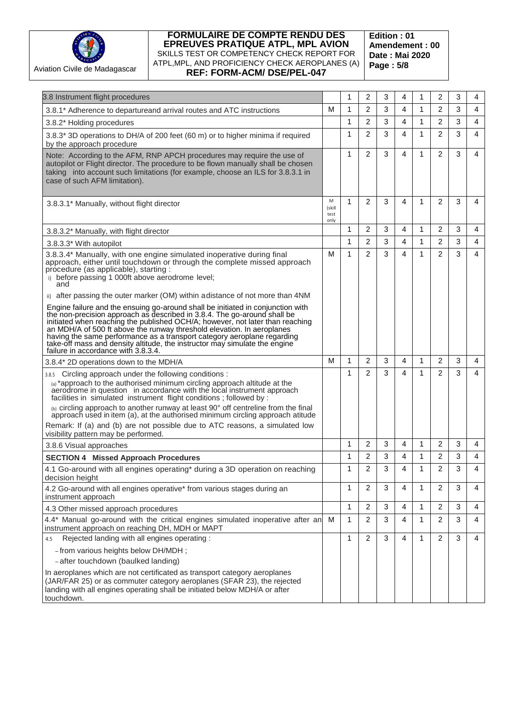

**Edition : 01 Amendement : 00 Date : Mai 2020 Page : 5/8**

| 3.8 Instrument flight procedures                                |                                                                                                                                                                                                                                                                                                                                                                                                                                                                                                                                    |                             | 1 | 2              | 3 | 4 | 1            | 2              | 3 | 4 |
|-----------------------------------------------------------------|------------------------------------------------------------------------------------------------------------------------------------------------------------------------------------------------------------------------------------------------------------------------------------------------------------------------------------------------------------------------------------------------------------------------------------------------------------------------------------------------------------------------------------|-----------------------------|---|----------------|---|---|--------------|----------------|---|---|
|                                                                 | 3.8.1* Adherence to departureand arrival routes and ATC instructions                                                                                                                                                                                                                                                                                                                                                                                                                                                               | М                           | 1 | 2              | 3 | 4 | 1            | 2              | 3 | 4 |
| 3.8.2* Holding procedures                                       |                                                                                                                                                                                                                                                                                                                                                                                                                                                                                                                                    |                             | 1 | 2              | 3 | 4 | 1            | 2              | 3 | 4 |
| by the approach procedure                                       | 3.8.3* 3D operations to DH/A of 200 feet (60 m) or to higher minima if required                                                                                                                                                                                                                                                                                                                                                                                                                                                    |                             | 1 | $\overline{2}$ | 3 | 4 | $\mathbf{1}$ | $\overline{2}$ | 3 | 4 |
| case of such AFM limitation).                                   | Note: According to the AFM, RNP APCH procedures may require the use of<br>autopilot or Flight director. The procedure to be flown manually shall be chosen<br>taking into account such limitations (for example, choose an ILS for 3.8.3.1 in                                                                                                                                                                                                                                                                                      |                             | 1 | $\overline{2}$ | 3 | 4 | 1            | $\overline{2}$ | 3 | 4 |
| 3.8.3.1* Manually, without flight director                      |                                                                                                                                                                                                                                                                                                                                                                                                                                                                                                                                    | M<br>(skill<br>test<br>only | 1 | 2              | 3 | 4 | 1            | 2              | 3 | 4 |
| 3.8.3.2* Manually, with flight director                         |                                                                                                                                                                                                                                                                                                                                                                                                                                                                                                                                    |                             | 1 | 2              | 3 | 4 | 1            | 2              | 3 | 4 |
| 3.8.3.3* With autopilot                                         |                                                                                                                                                                                                                                                                                                                                                                                                                                                                                                                                    |                             | 1 | $\overline{2}$ | 3 | 4 | 1            | 2              | 3 | 4 |
| procedure (as applicable), starting :<br>and                    | 3.8.3.4* Manually, with one engine simulated inoperative during final<br>approach, either until touchdown or through the complete missed approach<br>i) before passing 1 000ft above aerodrome level;<br>after passing the outer marker (OM) within adistance of not more than 4NM<br>Engine failure and the ensuing go-around shall be initiated in conjunction with<br>the non-precision approach as described in 3.8.4. The go-around shall be<br>initiated when reaching the published OCH/A; however, not later than reaching | М                           | 1 | $\overline{2}$ | 3 | 4 | 1            | 2              | 3 | 4 |
| failure in accordance with 3.8.3.4.                             | an MDH/A of 500 ft above the runway threshold elevation. In aeroplanes<br>having the same performance as a transport category aeroplane regarding<br>take-off mass and density altitude, the instructor may simulate the engine                                                                                                                                                                                                                                                                                                    |                             |   |                |   |   |              |                |   |   |
| 3.8.4* 2D operations down to the MDH/A                          |                                                                                                                                                                                                                                                                                                                                                                                                                                                                                                                                    | М                           | 1 | $\overline{2}$ | 3 | 4 | 1            | 2              | 3 | 4 |
|                                                                 | 3.8.5 Circling approach under the following conditions:<br>(a) *approach to the authorised minimum circling approach altitude at the<br>aerodrome in question in accordance with the local instrument approach<br>facilities in simulated instrument flight conditions; followed by:<br>(b) circling approach to another runway at least 90° off centreline from the final approach used in item (a), at the authorised minimum circling approach atitude                                                                          |                             | 1 | $\overline{2}$ | 3 | 4 | 1            | 2              | 3 | 4 |
|                                                                 | Remark: If (a) and (b) are not possible due to ATC reasons, a simulated low                                                                                                                                                                                                                                                                                                                                                                                                                                                        |                             |   |                |   |   |              |                |   |   |
| visibility pattern may be performed.<br>3.8.6 Visual approaches |                                                                                                                                                                                                                                                                                                                                                                                                                                                                                                                                    |                             | 1 | 2              | 3 | 4 | 1            | 2              | 3 | 4 |
| <b>SECTION 4 Missed Approach Procedures</b>                     |                                                                                                                                                                                                                                                                                                                                                                                                                                                                                                                                    |                             | 1 | $\overline{2}$ | 3 | 4 | 1            | $\overline{2}$ | 3 | 4 |
| decision height                                                 | 4.1 Go-around with all engines operating* during a 3D operation on reaching                                                                                                                                                                                                                                                                                                                                                                                                                                                        |                             |   | $\overline{c}$ | 3 | Δ | 1            | $\overline{c}$ | 3 | Δ |
| instrument approach                                             | 4.2 Go-around with all engines operative* from various stages during an                                                                                                                                                                                                                                                                                                                                                                                                                                                            |                             | 1 | 2              | 3 | 4 | 1            | 2              | 3 | 4 |
| 4.3 Other missed approach procedures                            |                                                                                                                                                                                                                                                                                                                                                                                                                                                                                                                                    |                             | 1 | 2              | 3 | 4 | 1            | 2              | 3 | 4 |
|                                                                 | 4.4* Manual go-around with the critical engines simulated inoperative after an<br>instrument approach on reaching DH, MDH or MAPT                                                                                                                                                                                                                                                                                                                                                                                                  | м                           | 1 | $\overline{2}$ | 3 | 4 | 1            | 2              | 3 | 4 |
| 4.5                                                             | Rejected landing with all engines operating :                                                                                                                                                                                                                                                                                                                                                                                                                                                                                      |                             | 1 | 2              | 3 | 4 | 1            | 2              | 3 | 4 |
| - from various heights below DH/MDH;                            |                                                                                                                                                                                                                                                                                                                                                                                                                                                                                                                                    |                             |   |                |   |   |              |                |   |   |
| -after touchdown (baulked landing)                              |                                                                                                                                                                                                                                                                                                                                                                                                                                                                                                                                    |                             |   |                |   |   |              |                |   |   |
| touchdown.                                                      | In aeroplanes which are not certificated as transport category aeroplanes<br>(JAR/FAR 25) or as commuter category aeroplanes (SFAR 23), the rejected<br>landing with all engines operating shall be initiated below MDH/A or after                                                                                                                                                                                                                                                                                                 |                             |   |                |   |   |              |                |   |   |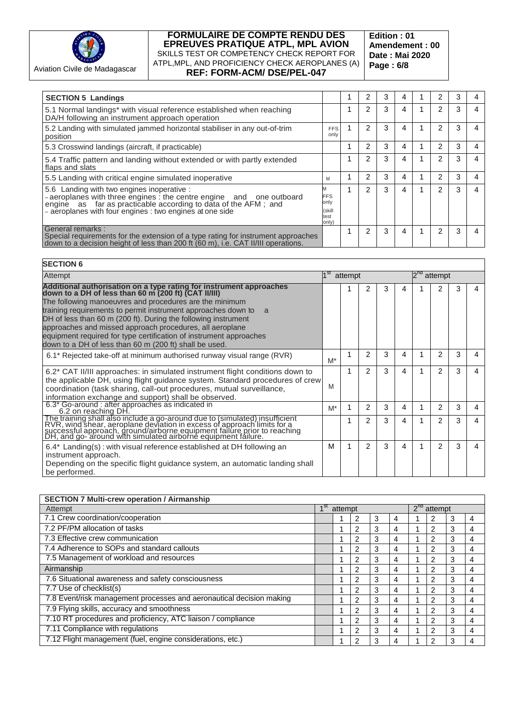

#### Aviation Civile de Madagascar

#### **FORMULAIRE DE COMPTE RENDU DES EPREUVES PRATIQUE ATPL, MPL AVION** SKILLS TEST OR COMPETENCY CHECK REPORT FOR ATPL,MPL, AND PROFICIENCY CHECK AEROPLANES (A) **REF: FORM-ACM/ DSE/PEL-047**

**Edition : 01 Amendement : 00 Date : Mai 2020 Page : 6/8**

| <b>SECTION 5 Landings</b>                                                                                                                                                                                                                          |                                               | 2              | 3 | 4 | 2 | 3 |   |
|----------------------------------------------------------------------------------------------------------------------------------------------------------------------------------------------------------------------------------------------------|-----------------------------------------------|----------------|---|---|---|---|---|
| 5.1 Normal landings* with visual reference established when reaching<br>DA/H following an instrument approach operation                                                                                                                            |                                               | $\overline{2}$ | 3 | 4 | 2 | 3 | 4 |
| 5.2 Landing with simulated jammed horizontal stabiliser in any out-of-trim<br>position                                                                                                                                                             | <b>FFS</b><br>only                            | 2              | 3 | 4 | 2 | 3 | 4 |
| 5.3 Crosswind landings (aircraft, if practicable)                                                                                                                                                                                                  |                                               | 2              | 3 | 4 | 2 | 3 | 4 |
| 5.4 Traffic pattern and landing without extended or with partly extended<br>flaps and slats                                                                                                                                                        |                                               | 2              | 3 | 4 | 2 | 3 | 4 |
| 5.5 Landing with critical engine simulated inoperative                                                                                                                                                                                             | M                                             | 2              | 3 | 4 | 2 | 3 | 4 |
| 5.6 Landing with two engines inoperative :<br>$-$ aeroplanes with three engines : the centre engine and one outboard<br>engine as far as practicable according to data of the AFM; and<br>- aeroplanes with four engines : two engines at one side | <b>FFS</b><br>only<br>(skill<br>test<br>only) | 2              | 3 | 4 | 2 | 3 | 4 |
| General remarks:<br>Special requirements for the extension of a type rating for instrument approaches down to a decision height of less than 200 ft (60 m), i.e. CAT II/III operations.                                                            |                                               | 2              | 3 | 4 | 2 | 3 | 4 |

#### **SECTION 6**

| Attempt                                                                                                                                                                                                                                                                                                                                                                                                                                                                                                                    |       | attempt |               |   |   | attempt       |   |  |
|----------------------------------------------------------------------------------------------------------------------------------------------------------------------------------------------------------------------------------------------------------------------------------------------------------------------------------------------------------------------------------------------------------------------------------------------------------------------------------------------------------------------------|-------|---------|---------------|---|---|---------------|---|--|
| Additional authorisation on a type rating for instrument approaches<br>down to a DH of less than 60 m (200 ft) (CAT II/III)<br>The following manoeuvres and procedures are the minimum<br>training requirements to permit instrument approaches down to<br>a<br>DH of less than 60 m (200 ft). During the following instrument<br>approaches and missed approach procedures, all aeroplane<br>equipment required for type certification of instrument approaches<br>down to a DH of less than 60 m (200 ft) shall be used. |       |         | 2             | 3 | 4 |               |   |  |
| 6.1* Rejected take-off at minimum authorised runway visual range (RVR)                                                                                                                                                                                                                                                                                                                                                                                                                                                     | $M^*$ |         | 2             | 3 | 4 | 2             | 3 |  |
| 6.2* CAT II/III approaches: in simulated instrument flight conditions down to<br>the applicable DH, using flight guidance system. Standard procedures of crew<br>coordination (task sharing, call-out procedures, mutual surveillance,<br>information exchange and support) shall be observed.                                                                                                                                                                                                                             | M     |         | 2             | 3 | 4 | 2             | 3 |  |
| 6.3* Go-around : after approaches as indicated in<br>6.2 on reaching DH.                                                                                                                                                                                                                                                                                                                                                                                                                                                   | M*    |         | 2             | 3 | 4 | 2             | 3 |  |
| The training shall also include a go-around due to (simulated) insufficient<br>RVR, wind shear, aeroplane deviation in excess of approach limits for a<br>successful approach, ground/airborne equipment failure prior to reaching<br>D                                                                                                                                                                                                                                                                                    |       |         | $\mathcal{P}$ | 3 | 4 | $\mathcal{P}$ | 3 |  |
| $6.4^*$ Landing(s) : with visual reference established at DH following an<br>instrument approach.<br>Depending on the specific flight guidance system, an automatic landing shall<br>be performed.                                                                                                                                                                                                                                                                                                                         | м     |         | 2             | 3 | 4 | 2             | 3 |  |

| <b>SECTION 7 Multi-crew operation / Airmanship</b>                   |         |               |   |   |          |                |   |   |
|----------------------------------------------------------------------|---------|---------------|---|---|----------|----------------|---|---|
| Attempt                                                              | attempt |               |   |   | $2^{na}$ | attempt        |   |   |
| 7.1 Crew coordination/cooperation                                    |         | 2             | 3 | 4 |          | 2              | 3 | 4 |
| 7.2 PF/PM allocation of tasks                                        |         | 2             | 3 | 4 |          | 2              | 3 | 4 |
| 7.3 Effective crew communication                                     |         | 2             | 3 | 4 |          | 2              | 3 | 4 |
| 7.4 Adherence to SOPs and standard callouts                          |         | 2             | 3 | 4 |          | $\overline{2}$ | 3 | 4 |
| 7.5 Management of workload and resources                             |         | 2             | 3 | 4 |          | 2              | 3 | 4 |
| Airmanship                                                           |         | 2             | 3 | 4 |          | 2              | 3 | 4 |
| 7.6 Situational awareness and safety consciousness                   |         | 2             | 3 | 4 |          | 2              | 3 | 4 |
| 7.7 Use of checklist(s)                                              |         | 2             | 3 | 4 |          | 2              | 3 | 4 |
| 7.8 Event/risk management processes and aeronautical decision making |         | $\mathcal{P}$ | 3 | 4 |          | 2              | 3 | 4 |
| 7.9 Flying skills, accuracy and smoothness                           |         | 2             | 3 | 4 |          | $\overline{2}$ | 3 | 4 |
| 7.10 RT procedures and proficiency, ATC liaison / compliance         |         | $\mathcal{P}$ | 3 | 4 |          | $\overline{2}$ | 3 | 4 |
| 7.11 Compliance with regulations                                     |         | 2             | 3 | 4 |          | 2              | 3 | 4 |
| 7.12 Flight management (fuel, engine considerations, etc.)           |         | 2             | 3 | 4 |          | 2              | 3 | 4 |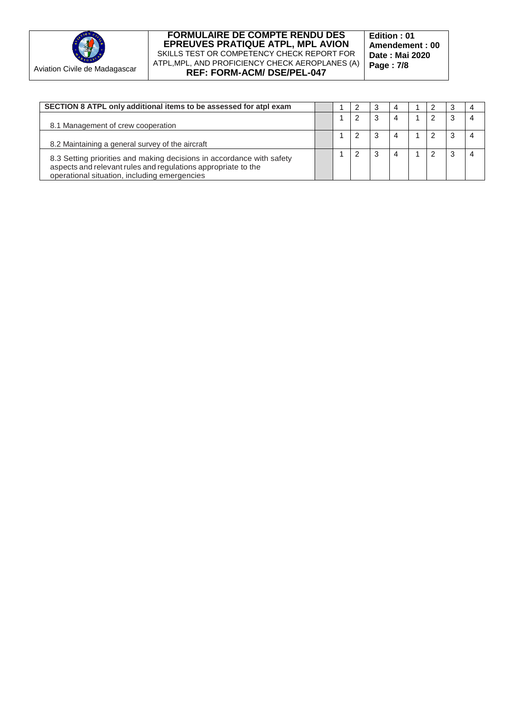

**Edition : 01 Amendement : 00 Date : Mai 2020 Page : 7/8**

| SECTION 8 ATPL only additional items to be assessed for atpl exam                                                                                                                      |  |   | - 3 | 4 |  | З |  |
|----------------------------------------------------------------------------------------------------------------------------------------------------------------------------------------|--|---|-----|---|--|---|--|
| 8.1 Management of crew cooperation                                                                                                                                                     |  | 2 |     | 4 |  | 3 |  |
| 8.2 Maintaining a general survey of the aircraft                                                                                                                                       |  | 2 |     | 4 |  | 3 |  |
| 8.3 Setting priorities and making decisions in accordance with safety<br>aspects and relevant rules and regulations appropriate to the<br>operational situation, including emergencies |  | 2 |     | 4 |  | 3 |  |